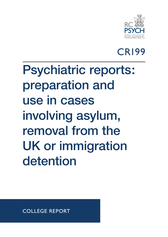

## CR199

# Psychiatric reports: preparation and use in cases involving asylum, removal from the UK or immigration detention

COLLEGE REPORT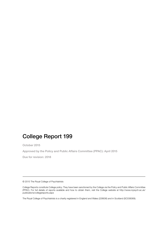#### College Report 199

October 2015

Approved by the Policy and Public Affairs Committee (PPAC): April 2015

Due for revision: 2018

© 2015 The Royal College of Psychiatrists

College Reports constitute College policy. They have been sanctioned by the College via the Policy and Public Affairs Committee (PPAC). For full details of reports available and how to obtain them, visit the College website at http://www.rcpsych.ac.uk/ publications/collegereports.aspx

The Royal College of Psychiatrists is a charity registered in England and Wales (228636) and in Scotland (SC038369).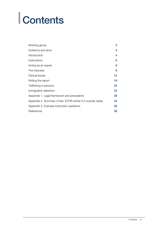# **Contents**

| Working group                                               | $\overline{2}$ |
|-------------------------------------------------------------|----------------|
| Audience and aims                                           | 3              |
| Introduction                                                | 4              |
| Instructions                                                | 6              |
| Acting as an expert                                         | 8              |
| The interview                                               | 9              |
| Clinical issues                                             | 12             |
| Writing the report                                          | 19             |
| Trafficking in persons                                      | 22             |
| Immigration detention                                       | 23             |
| Appendix 1. Legal framework and precedents                  | 28             |
| Appendix 2. Summary of law: ECHR article 3 in suicide cases | 33             |
| Appendix 3. Example instruction questions                   | 36             |
| References                                                  | 38             |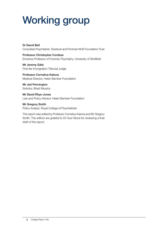## Working group

Dr David Bell Consultant Psychiatrist, Tavistock and Portman NHS Foundation Trust

Professor Christopher Cordess Emeritus Professor of Forensic Psychiatry, University of Sheffield

Mr Jeremy Gibb First-tier Immigration Tribunal Judge

Professor Cornelius Katona Medical Director, Helen Bamber Foundation

Mr Jed Pennington Solicitor, Bhatt Murphy

Mr David Rhys-Jones Law and Policy Advisor, Helen Bamber Foundation

Mr Gregory Smith Policy Analyst, Royal College of Psychiatrists

This report was edited by Professor Cornelius Katona and Mr Gregory Smith. The editors are grateful to Dr Huw Stone for reviewing a final draft of the report.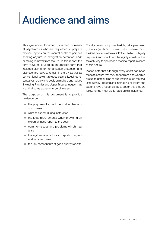## Audience and aims

This guidance document is aimed primarily at psychiatrists who are requested to prepare medical reports on the mental health of persons seeking asylum, in immigration detention, and/ or facing removal from the UK. In this report, the term 'asylum' is used as an umbrella term that includes claims for humanitarian protection and discretionary leave to remain in the UK as well as conventional asylum/refugee claims. Legal representatives, policy and decision makers and judges (including First-tier and Upper Tribunal judges) may also find some aspects to be of interest.

The purpose of this document is to provide guidance on:

- $\bullet$  the purpose of expert medical evidence in such cases
- $\bullet$  what to expect during instruction
- $\bullet$  the legal requirements when providing an expert witness report to the court
- common issues and problems which may arise
- $\bullet$  the legal framework for such reports in asylum and removal cases
- $\bullet$  the key components of good quality reports.

The document comprises flexible, principle-based guidance (aside from content which is taken from the Civil Procedure Rules (CPR) and which is legally required) and should not be rigidly construed as the only way to approach a medical report in cases of this nature.

Please note that although every effort has been made to ensure that text, appendices and weblinks are up to date at time of publication, such material is frequently updated and instructing solicitors and experts have a responsibility to check that they are following the most up-to-date official guidance.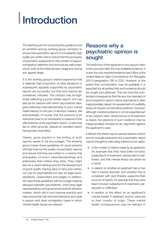# **Introduction**

The starting point for producing this guidance was an ambition among working group members to ensure that psychiatric reports of consistently high quality are written and to ensure that the processes of psychiatric assessment in the context of asylum, immigration detention and removal are well understood, both at the initial decision stage and during any appeal stage.

It is the working group's shared experience that a relatively high proportion of initial decisions or subsequent appeals supported by psychiatric reports are successful, but that such reports are sometimes criticised. This criticism may be legitimate (reflecting a poorly written report), but may also be for reasons with which psychiatrists disagree (reflecting misunderstanding or poor mental health literacy on the part of decision makers). We acknowledge, of course, that the outcome of an individual case is not necessarily a measure of the effectiveness of the psychiatric report; a case may fail on other grounds, despite an excellent report having been submitted.

Clearly, good practice in the writing of such reports needs to be encouraged. The working group hopes these guidelines for good practice will help improve the quality of psychiatric reports and ensure that they are written in a manner that anticipates common misunderstandings and addresses them before they arise. They might also be a useful starting point for the development of good-quality training (face to face and online), not only for psychiatrists but also for legal representatives, caseworkers and judges. In addition, we hope these guidelines will encourage ongoing dialogue between psychiatrists, instructing legal representatives and government/judicial decision makers, which will in turn improve practice and help ensure that fully informed decisions are made in asylum and other immigration cases in which mental health issues are relevant.

#### Reasons why a psychiatric opinion is sought

The testimony of the applicant in any asylum claim is the core (and often the only available) evidence. It is also the only required evidence (see Office of the United Nations High Commissioner for Refugees (2011) paragraphs 195 to 202). However, to the extent that corroboration may be available, it is expected (by all parties) that such evidence should be sought and adduced. This can have the unintended consequence that the very low standard of proof required in asylum claims (see below) is often inappropriately raised. An assessment of credibility does not require corroborative evidence. However, although medical evidence is not an essential part of any asylum claim, where torture or ill-treatment is raised, the absence of such evidence may be inappropriately invoked as an argument against the applicant's case.

It follows that there may be several reasons (which are not mutually exclusive) why a psychiatric report may be thought by instructing solicitors to be useful:

- in the context of claims made by an applicant, for example that they have been tortured, subjected to ill-treatment, persecuted or trafficked, and that mental illness has arisen as a result;
- $\bullet$  in relation to whether an applicant has or has had a mental disorder, and whether this is consistent with (and thereby supports) their account of events, for example that they have been tortured, subjected to ill-treatment, persecuted or trafficked;
- in relation to the effect on an applicant's mental health if detained and/or returned to their country of origin. These mental health consequences may be relevant in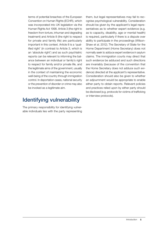terms of potential breaches of the European Convention on Human Rights (ECHR), which was incorporated into UK legislation via the Human Rights Act 1998. Article 3 (the right to freedom from torture, inhuman and degrading treatment) and Article 8 (the right to respect for private and family life) are particularly important in this context. Article 8 is a 'qualified right' (in contrast to Article 3, which is an 'absolute right') and as such psychiatric reports can be relevant to informing the balance between an individual or family's right to respect for family and/or private life, and the legitimate aims of the government, usually in the context of maintaining the economic well-being of the country through immigration control. In deportation cases, national security or the prevention of disorder or crime may also be invoked as a legitimate aim.

### Identifying vulnerability

The primary responsibility for identifying vulnerable individuals lies with the party representing them, but legal representatives may fail to recognise psychological vulnerability. Consideration should be given by the applicant's legal representatives as to whether expert evidence (e.g. as to capacity, disability, age or mental health) is required, particularly if there is a dispute over ability to participate in the proceedings (Wilson-Shaw *et al*, 2012). The Secretary of State for the Home Department (Home Secretary) does not normally seek to adduce expert evidence in asylum claims. The immigration courts may direct that such evidence be adduced and such directions are invariably (because of the convention that the Home Secretary does not adduce such evidence) directed at the applicant's representative. Consideration should also be given to whether an adjournment would be appropriate to enable either party to obtain reports. Relevant policies and practices relied upon by either party should be disclosed (e.g. protocols for victims of trafficking or interview protocols).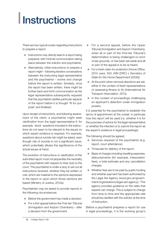# **Instructions**

There are two typical routes regarding instructions to prepare a report.

- $\bullet$  Instructions may directly lead to a report being prepared, with minimal communication taking place between the solicitor and psychiatrist.
- $\bullet$  Alternatively, initial instructions to prepare a report might – following iterative conversations between the instructing legal representative and the psychiatrist – evolve and change before the report is written. Similarly, once the report has been written, there might be further back-and-forth communication as the legal representative subsequently requests that the psychiatrist clarifies particular aspects of the report before it is thought 'fit for purpose' and finalised.

Upon receipt of instructions, and following assessment of the client, a psychiatrist might seek clarification from the legal representative if, for example, 'stock' questions included in the instructions do not seem to be relevant to the issues on which expert evidence is required. For example, questions about suicide risk might be asked, even though risk of suicide is not a significant issue, which potentially dilutes the significance of the actual issues at hand.

The evolution of instructions or clarification of the submitted report must not jeopardise the neutrality of the psychiatrist with respect to their duty to the court. The psychiatrist is under a duty to set out all instructions received, whether they be written or oral, which are material to the opinions expressed in the report or upon which those opinions are based (Ministry of Justice, 2012a).

Psychiatrists may be asked to provide reports in the following circumstances.

- Before the government has made a decision.
- For a first appeal before the First-tier Tribunal (Immigration and Asylum Chambers) – after a decision from the government.
- For a second appeal, before the Upper Tribunal (Immigration and Asylum Chambers), when all or part of the First-tier Tribunal's determination is being challenged on error of law grounds, or has been set aside and all or part of the appeal is to be re-heard.
- For a fresh claim for protection (Home Office, 2014: para. 353; *WM (DRC) v Secretary of State for the Home Department* [2006]).
- $\bullet$  At the point when removal directions are set, either in the context of fresh representations or assessing fitness to fly (International Air Transport Association, 2013).
- In the context of proceedings challenging an applicant's detention under immigration powers.

It is essential for the psychiatrist to establish the terms of appointment at the outset, in particular how the report will be used (i.e. whether it is for the purposes of advice for the legal representative or whether the intention is to submit the report as the expert's evidence in legal proceedings).

The following should be agreed.

- $\bullet$  Services required of the psychiatrist (e.g. report, court attendance).
- Timescale for delivery of the report.
- Basis of charges including travelling expenses, disbursements (for example, interpreters' fees), a total estimate and any cancellation charges.
- $\bullet$  Whether fees are to be paid by public funding and whether payment has been authorised by the Legal Aid Agency (www.gov.uk/government/organisations/legal-aid-agency). This agency provides guidance on the rates that experts can charge. This is subject to change from time to time and the appropriate rate should be clarified with the solicitor at the time of instruction.

Before a psychiatrist prepares a report for use in legal proceedings, it is the working group's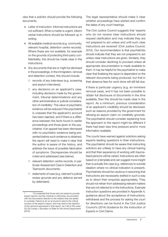view that a solicitor should provide the following documents.

- $\bullet$  Letter of instruction. Informal instructions are not sufficient. When a matter is urgent, interim verbal instructions should be followed up in writing.
- All available medical records (e.g. community, relevant hospital, detention centre records). Where these are not available, for example on the grounds of protecting third-party confidentiality, this should be made clear in the instructions.
- Any documents that are or might be disclosed in the proceedings. In the immigration, removal and detention context, this should include:
	- { records of any interviews (e.g. screening and asylum interviews);
	- $\circ$  any decisions on an applicant's case, including decisions made by the government, tribunal determinations and any other administrative or judicial consideration of credibility.<sup>1</sup> The value of psychiatric evidence will be reduced if the psychiatrist is unaware that the applicant's account has been rejected, and if there is a difference between the facts found in earlier proceedings and those given to the psychiatrist. If an appeal has been dismissed with no psychiatric evidence being presented before such evidence is obtained, the report will need to make it clear that the author is aware of the history, and address the issue of possible fabrication of symptoms. Discrepancies should be noted and addressed (see below);
	- { relevant detention centre records, in particular Assessment Care in Detention and Teamwork documents;
	- { statements of case (e.g. claimant's judicial review grounds and any defence served by defendant).

The legal representative should make it clear whether proceedings have started and confirm the dates of any court hearings.

The Civil Justice Council suggests that 'experts who do not receive clear instructions should request clarification and may indicate they are not prepared to act unless and until such clear instructions are received' (Civil Justice Council, 2014). Our recommendation is that psychiatrists should indicate that they are not prepared to act unless clear instructions are given. Similarly, they should consider declining to proceed unless all appropriate documentation is made available to them. It may be helpful for the psychiatrist to make clear that finalising the report is dependent on the relevant documents being produced, but that in their absence fees for work done will still fall due.

If there is particular urgency (e.g. an imminent removal case), and it has not been possible to obtain full disclosure of documents in the time available, then this should be made clear in the report. As a minimum, previous consideration of an applicant's credibility should be disclosed, such as reasons provided by the government for refusing an asylum claim on credibility grounds. The psychiatrist should consider explaining how the approach to the report might be different if there had been less time pressure and/or more information available.

The courts have warned against solicitors asking experts leading questions in their instructions. The psychiatrist should be aware that instructing solicitors are unlikely to have any clinical training and that their experience of working with traumatised persons will be varied. Instructions are often based on a template and can suggest more insight than is actually the case (e.g. references to suicidal ideation where no clinical indication is present). Psychiatrists should be cautious in assuming that instructions are necessarily drafted in such a way as to direct their enquiries appropriately. They should not refrain from addressing relevant matters that are not referred to in the instructions. Example instruction questions are provided in Appendix 4, guidance about the acceptance of instructions, withdrawal and the process for asking the court for directions can be found in the Civil Justice Council's (2014) *Guidance for the Instruction of Experts in Civil Claims*.

<sup>&</sup>quot;It is essential that those who are asked to provide expert reports, be they medical or otherwise, are provided with the documents relevant to the matters they are asked to consider. Failure to do so is bound to lead to the critical scrutiny of the expert's report, and may lead to the rejection of the opinions expressed in that report, as it did in this case." *SS (Sri Lanka) v Secretary of State for the Home Department*  [2012]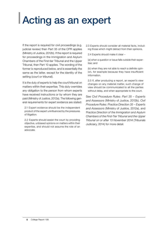## Acting as an expert

If the report is required for civil proceedings (e.g. judicial review) then Part 35 of the CPR applies (Ministry of Justice, 2012b). If the report is required for proceedings in the Immigration and Asylum Chambers of the First-tier Tribunal and the Upper Tribunal, then Part 10 applies. The wording of the former is reproduced below, and is essentially the same as the latter, except for the identity of the setting (court or tribunal).

It is the duty of experts to help the court/tribunal on matters within their expertise. This duty overrides any obligation to the person from whom experts have received instructions or by whom they are paid (Ministry of Justice, 2012a). The following general requirements for expert evidence are stated:

2.1 Expert evidence should be the independent product of the expert uninfluenced by the pressures of litigation.

2.2 Experts should assist the court by providing objective, unbiased opinions on matters within their expertise, and should not assume the role of an advocate.

2.3 Experts should consider all material facts, including those which might detract from their opinions.

2.4 Experts should make it clear –

(a) when a question or issue falls outside their expertise; and

(b) when they are not able to reach a definite opinion, for example because they have insufficient information.

2.5 If, after producing a report, an expert's view changes on any material matter, such change of view should be communicated to all the parties without delay, and when appropriate to the court.

See *Civil Procedure Rules: Part 35 – Experts and Assessors* (Ministry of Justice, 2012b), *Civil Procedure Rules: Practice Direction 35 – Experts and Assessors* (Ministry of Justice, 2012a), and P*ractice Direction of the Immigration and Asylum Chambers of the First-Tier Tribunal and the Upper Tribunal on or after 13 November 2014* (Tribunals Judiciary, 2014) for more detail.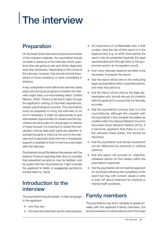# The interview

### **Preparation**

On the basis of the instructions received and review of the included materials, the psychiatrist should consider in advance of the interview which questions they are going to ask and which diagnostic tools they will employ. Depending on the course of the interview, however, they should not limit themselves to those questions or tools considered in advance.

A key consideration both before the interview takes place and during its progress is whether the interview might have a re-traumatising effect (United Nations, 2004). There is a risk that it might, through the applicant's reliving of traumatic experiences, reopen psychological wounds. The psychiatrist must be prepared to bring the interview to an end if necessary. It might be appropriate to give interviewees opportunities for breaks and the psychiatrist should be alert for clinical signs of distress or hyper-arousal. It is important to review the interviewee's clinical state (with particular attention to suicidal thoughts or intent) at the end of the interview and to ascertain what informal or therapeutic support is available to them in the hours and days after the interview.

Psychiatrists should familiarise themselves with the Istanbul Protocol regarding their duty to consider that presented symptoms may be falsified, and be aware that the circumstances might motivate the applicant to falsify or exaggerate symptoms (United Nations, 2004).

#### Introduction to the interview

The psychiatrist should explain, in plain language, to the applicant:

- $\bullet\quad$  who they are;
- $\bullet$  who has instructed them and for what purpose;
- $\bullet$  the importance of confidentiality and, in that context, what the role of their report is in the legal process (e.g. to which third parties the report may be presented (typically the legal representative and through them to the government and/or an immigration court));
- $\bullet$  how many interview sessions are likely to be necessary to prepare the report;
- that the report will be sent to the instructing legal representative within a specified period, and what that period is;
- that the report will be read by the legal representative who should discuss its contents with the applicant to ensure that it is factually accurate;
- $\bullet$  that the psychiatrist's primary duty is to the court/tribunal, although this coexists with the psychiatrist's duty towards the patient as codified within the General Medical Council's document *Good Medical Practice* (2013). If it becomes apparent that there is a conflict between these duties, this should be disclosed;
- that the psychiatrist must remain neutral and not be influenced by personal or political opinions;
- that the report will provide an objective, unbiased opinion on the matters within the psychiatrist's expertise;
- that the psychiatrist will not treat the applicant for any illness following the completion of the report but may, with consent, speak or write to their GP about treatment for physical or mental health problems.

### Family members

The psychiatrist may find it valuable to speak privately with the applicant's family members, but should be aware of cultural taboos and of the need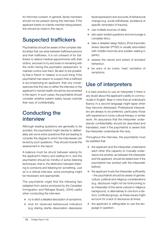for informed consent. In general, family members should not be present during the interview. If the applicant insists on a family member being present, this should be noted in the report.

## Suspected traffickers

Psychiatrists should be aware of the complex relationships that can arise between trafficked persons and their traffickers. It is not unheard of for traffickers to attend medical appointments with their victims, and even to try and insist on remaining with the victim during the psychiatric assessment, to maintain control over them. Be alert to the possibility that a 'friend' or 'relative' is no such thing. If the psychiatrist has reason to suspect that a trafficker is accompanying an applicant, then any consequences that this has on either the interview or the applicant's mental health should be documented in the report. In such cases, the psychiatrist should consider whether patient safety issues override their duty of confidentiality.

#### Conducting the interview

Although leading questions are generally to be avoided, the psychiatrist might decide to deliberately ask some extra questions that are leading to consider the degree to which the interviewee can be led by such questions. They should include this assessment in the report.

A balance must be struck between asking for the applicant's history and waiting for it, and the psychiatrist should be mindful of active listening techniques; that is, the distinction between listening to someone and listening for something. Just as in a clinical interview, some prompting might be necessary and appropriate.

The psychiatrist might find the following tips (adapted from advice produced by the Canadian Immigration and Refugee Board, 2004) useful when conducting the interview:

- $\bullet$  try to elicit a detailed description of symptoms;
- look for observed behavioural indicators (e.g. staring, startle, dissociation, depressive

facial expression) and accounts of behavioural change (e.g. social withdrawal, avoidance of specific reminders of trauma);

- $\bullet$  use multiple sources of data;
- ask open-ended questions and encourage a complete story;
- $\bullet$  take a detailed sleep history (Post-traumatic stress disorder (PTSD) is usually associated with middle insomnia and sudden waking in panic);
- $\bullet$  assess the nature and extent of avoidant behaviour;
- $\bullet$  be wary of an overly 'neat' recitation of symptoms.

#### Use of interpreters

It is best practice to use an interpreter if there is any doubt about the applicant's ability to communicate in English. Bear in mind that an individual's fluency in a second language might lapse when they become distressed. Professional interpreters are always to be preferred, particularly those with experience in cross-cultural therapy or similar work. An assurance that the interpreter understands confidentiality should be described and translated, even if the psychiatrist is aware that the interpreter understands this duty.

Throughout the interview, the psychiatrist must be satisfied that:

- $\bullet$  the applicant and the interpreter understand each other (the capacity to mutually understand one another, as between the interpreter and the applicant, should be tested even if the psychiatrist has worked with the interpreter before);
- $\bullet$  the applicant trusts the interpreter sufficiently – the psychiatrist should be aware of gender, culture, political and religious considerations (e.g. disclosure might not be forthcoming to an interpreter of the same cultural or religious background, or alternatively to one from a distinct, conflicted group), as these issues might account for a lack of disclosure at times;
- $\bullet$  the applicant is willing/able to use the language in question;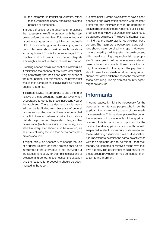$\bullet$  the interpreter is translating verbatim, rather than summarising or only translating selected phrases or sentences.

It is good practice for the psychiatrist to discuss the necessary style of interpretation with the interpreter before the interview. Future-oriented and hypothetical questions might be conceptually difficult in some languages, for example, and a good interpreter should ask for such questions to be rephrased. This is to be encouraged. The psychiatrist should bear in mind that an interpreter's insights are not verifiable, factual information.

Breaking speech down into sections is helpful as it minimises the chance of the interpreter forgetting something that has been said by either of the other parties. For this reason, the psychiatrist should take particular care to avoid asking multiple questions at once.

It is almost always inappropriate to use a friend or relative of the applicant as interpreter (even when encouraged to do so by those instructing you or the applicant). There is a danger that disclosure will not be facilitated (e.g. because of cultural taboos surrounding mental illness or rape) or that a conflict of interest between applicant and relative distorts the process of interpretation. Using another professional (such as a solicitor or a nurse), as a stand-in interpreter should also be avoided, as this risks blurring the line that demarcates their professional role.

It might, rarely, be necessary to accept the use of a friend, relative or other professional as an interpreter, if the alternative is not carrying out the assessment at all, for example in situations of exceptional urgency. In such cases, the situation and the reasons for proceeding should be documented in the report.

It is often helpful for the psychiatrist to have a short debriefing and clarification session with the interpreter after the interview. It might be germane to seek corroboration of certain points, but it is inappropriate for any new observations or evidence to be gathered as a result. The psychiatrist must bear in mind that the interpreter is not an expert but a conduit. The interpreter's observations and opinions should never be cited in a report. However, matters raised by the interpreter may be discussed with those instructing the psychiatrist if appropriate. For example, if the interpreter raises a relevant issue of his or her shared culture or situation that might be relevant to the report, the psychiatrist should seek to establish whether the applicant shares that view and then discuss the matter with those instructing. The opinion of a country expert might be required.

### **Informants**

In some cases, it might be necessary for the psychiatrist to interview people who know the applicant to complement aspects of their medical examination. This may take place either during the interview or in private without the applicant present. This is particularly important for the most vulnerable applicants, such as those with suspected intellectual disability or dementia and those exhibiting pseudo-seizures or dissociation. It is important to exercise the same objectivity as with the applicant, and to be mindful that their friends, housemates or relatives might have their own agenda. The psychiatrist should ensure that the applicant provides informed consent for them to talk to the informant.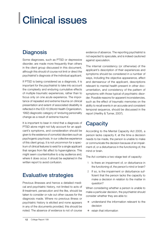# Clinical issues

#### **Diagnosis**

Some diagnoses, such as PTSD or depressive disorder, are made more frequently than others in the client group discussed in this document, although this should of course not limit or direct the psychiatrist's diagnosis of the individual applicant.

If PTSD is being considered as a diagnosis, it is important for the psychiatrist to take into account the complexity and enduring cumulative effects of multiple traumatic experiences, rather than to focus only on one acute experience. The importance of repeated and extreme trauma on clinical presentation and extent of associated disability is reflected in the ICD-10 (World Health Organization, 1992) diagnostic category of 'enduring personality change as a result of extreme trauma'.

It is important to bear in mind that a diagnosis of PTSD alone might not fully account for an applicant's symptoms, and consideration should be given to the existence of comorbid disorders such as psychogenic psychosis. In our collective experience of this client group, it is not uncommon for a spectrum of clinical features to exist for a single applicant that ranges from flat affect to hypervigilance. This might seem counterintuitive to a lay audience and, where it does occur, it should be explained in the written report to avoid confusion.

#### Evaluative strategies

Previous illnesses and hence a detailed medical and psychiatric history, not limited to acts of ill-treatment, persecution and the like, should be taken to consider or rule out other causes for the diagnosis made. Where no previous illness or psychiatric history is elicited and none appears in any of the documents provided, this should be noted. The absence of evidence is not of course

evidence of absence. The reporting psychiatrist is not expected to speculate, and is indeed cautioned against speculation.

The internal consistency (or otherwise) of the applicant's description of their experiences and symptoms should be considered in a number of ways, including the objective appearance, affect and demeanour of the applicant, descriptions relevant to mental health present in other documentation, and consistency of the pattern of symptoms with those typical of psychiatric disorder. Possible reasons for apparent inconsistencies, such as the effect of traumatic memories on the ability to recall events in an accurate and consistent temporal sequence, should be discussed in the report (Herlihy & Turner, 2007).

### **Capacity**

According to the Mental Capacity Act 2005, a person lacks capacity if, at the time a decision needs to be made, the person is unable to make or communicate the decision because of an impairment of, or a disturbance in the functioning of, the mind or brain.

The Act contains a two-stage test of capacity:

- 1 Is there an impairment of, or disturbance in the functioning of, the person's mind or brain?
- 2 If so, is the impairment or disturbance sufficient that the person lacks the capacity to make a decision in relation to the matter in question?

When considering whether a person is unable to make a particular decision, the psychiatrist should consider whether they are able to:

- $\bullet$  understand the information relevant to the decision
- $\bullet$  retain that information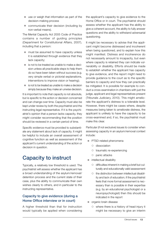- $\bullet$  use or weigh that information as part of the decision-making process
- communicate their decision (including by non-verbal means).

The Mental Capacity Act 2005 Code of Practice contains a number of guiding principles (Department for Constitutional Affairs, 2007), including that a person:

- $\bullet$  must be assumed to have capacity unless it is established through evidence that they lack capacity;
- $\bullet$  is not to be treated as unable to make a decision unless all practicable steps to help them do so have been taken without success (e.g. very simple verbal or pictorial explanations, interventions to improve vision or hearing);
- is not to be treated as unable to make a decision simply because they make an unwise decision.

It is important to note that capacity is not absolute, but is specific to the action or decision concerned and can change over time. Capacity must also be kept under review by both the psychiatrist and the instructing legal representative. If it is the psychiatrist's opinion that a person lacks capacity, they might consider recommending that the position should be reviewed in a certain period of time.

Specific evidence must be provided to substantiate any statement about lack of capacity. It might be helpful to include an overall assessment of cognitive function as well as assessment of the applicant's current understanding of the action or decision in question.

### Capacity to instruct

Typically, a relatively low threshold is used. The psychiatrist will assess whether the applicant has a broad understanding of the asylum/removal/ detention process and the current state of their case, plus the ability to communicate their own wishes clearly to others, and in particular to the instructing representative.

#### Capacity to give evidence (during a Home Office interview or in court)

A higher threshold than that for instruction would typically be applied when considering

the applicant's capacity to give evidence to the Home Office or in court. The psychiatrist should assess whether the applicant has the ability to give a coherent account, the ability to fully answer questions and the ability to withstand adversarial questioning.

It might be necessary to advise that the applicant might become distressed and incoherent when being questioned, and to explain how this might manifest. Distress and incoherence do not necessarily amount to incapacity, but even where capacity is retained they can indicate vulnerability or disability. Efforts should be made to establish whether the applicant has capacity to give evidence, and the report might need to provide guidance to the court as to the specific barriers to capacity and how they can practically be mitigated. It is possible for example to conduct a cross-examination in chambers with just the judge, applicant and legal representatives present (Tribunals Judiciary, 2010). This might ameliorate the applicant's distress to a tolerable level. However, there might be cases where, despite measures being taken to ameliorate distress, the applicant is unlikely to have the capacity to be cross-examined and, if so, the psychiatrist must make this clear.

Particular (if not exclusive) issues to consider when assessing capacity in an asylum/removal context include:

- **PTSD-related phenomena** 
	- { dissociation
	- { traumatic re-experiencing
	- { panic attacks
- $\bullet$  intellectual disability
	- { difficulties inherent in making a brief but culturally and educationally valid assessment
	- $\circ$  the distinction between intellectual disability and lack of education; if the psychiatrist feels that more formal assessment is necessary than is possible in their expertise (e.g. by an educational psychologist or a neuropsychologist) then this should be indicated in the report
- organic brain disease
	- $\circ$  where there is a history of head injury it might be necessary to give an interim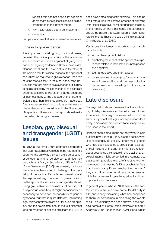report if this has not been fully explored; appropriate investigations can also be recommended in the interim report

- { HIV/AIDS-related cognitive impairment
- { dementia
- past or current alcohol misuse/dependence.

#### Fitness to give evidence

It is important to distinguish, in clinical terms, between the clinical plausibility of the presentation and the impact on the applicant of giving such evidence. If giving evidence is likely to have a deleterious effect and the psychiatrist is therefore of the opinion that for clinical reasons, the applicant should not be required to give evidence, then this must be made clear. On the other hand, if the individual is thought able to give evidence but is likely to be distressed by the experience or to dissociate under questioning to the extent that the accuracy of their testimony will be affected by their psychological state, then this should also be made clear. A legal representative's instructions as to fitness to give evidence can cover either or both of the issues of capacity and fitness and the report should make clear which is being addressed.

#### Lesbian, gay, bisexual and transgender (LGBT) issues

In 2010, a Supreme Court judgment established that LGBT asylum seekers cannot be returned to a country if the only way they can avoid persecution or serious harm is to 'be discreet' and hide their sexuality (*HJ (Iran) v Secretary of State for the Home Department* [2010]). As a result, the focus in many cases has moved to challenging the credibility of the applicant's professed sexuality, and the psychiatrist might be asked to give an opinion on the applicant's sexuality or transgender status. Being gay, lesbian or bisexual is, of course, not a psychiatric condition. It might occasionally be necessary to consider the possibility of gender dysphoria, but that is quite different. Instructing legal representatives might ask for such an opinion, and the psychiatrist should make it clear that judging whether or not the applicant is LGBT is

not a psychiatric diagnostic exercise. This can be dealt with during the iterative process of clarifying instructions (as above) or responded to in the body of the report. On the other hand, the psychiatrist should be aware that LGBT people have higher rates of mental illness and suicide (King *et al*, 2008; Chakraborty *et al*, 2011).

Key issues to address in reports on such applicants include:

- $\bullet$  sexual development history
- **•** psychological impact of the applicant's experiences related to their sexuality (both positive and negative)
- $\bullet$  stigma (objective and internalised)
- z consequences of return (e.g. forced marriage, fear of persecution and the psychological consequences of needing to hide sexual orientation).

#### Late disclosure

The psychiatrist should be aware that the applicant might delay disclosure of the full extent of their experiences. This might be viewed with suspicion, and it is important that legitimate explanations for a delay in disclosure are explored and, if applicable, discussed in the report.

Reports should document not only what is said but also how it is said – and, in some cases, what is conspicuously left unsaid. For example, people who have been subjected to sexual trauma as part of their torture or ill-treatment might be reticent about describing their torture in any detail or at all; sexual trauma might be denied in circumstances that seem implausible (e.g. 'all of the other women were raped, but I was not'). If the psychiatrist feels that there is a significant 'elephant in the room', they should consider whether another session might be necessary to give the applicant sufficient opportunity for disclosure.

In general, people whose PTSD arises in the context of sexual trauma have particular difficulty in fully and clearly disclosing what has happened to them, or sometimes in disclosing the events at all. This difficulty has been shown in the specific context of Home Office interviews (Hook & Andrews, 2005; Bogner *et al*, 2007). Rape (which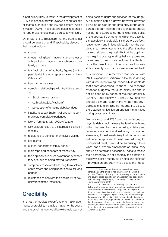is particularly likely to result in the development of PTSD) is associated with overwhelming feelings of shame, humiliation and low self-esteem (Welch & Mason, 2007). These psychological responses to rape make its disclosure particularly difficult.

Other barriers to disclosure that the psychiatrist should be aware of and, if applicable, discuss in their report include:

- $\bullet$  shame
- threats having been made or a genuine fear of a threat being made to the applicant or their family at home
- $\bullet$  fear/lack of trust of authority figures (i.e. the psychiatrist, the legal representative or Home Office staff)
- $\bullet$  trauma/memory loss
- complex relationships with traffickers, such as:
	- { Stockholm syndrome
	- { oath-taking/juju/witchcraft
	- $\circ$  perception of ongoing debt bondage
- inability to speak English well enough to communicate complex experiences
- $\bullet$  lack of familiarity with UK law/culture
- $\bullet$  lack of awareness that the applicant is a victim of crime
- z reluctance to consider themselves victims
- self-blame
- cultural concepts of family honour
- $\bullet$  male rape and concepts of masculinity
- $\bullet$  the applicant's lack of awareness of where they are, due to being moved frequently
- symptoms associated with long-term solitary confinement and being under control for long periods
- reluctance to confront the possibility of sexually transmitted infections.

## **Credibility**

It is not the medical expert's role to make judgments of credibility – that is a matter for the court, and the psychiatrist should be extremely wary of being seen to usurp the function of the judge.<sup>2</sup> A distinction can be drawn however between giving an opinion on the credibility of the applicant's account (which the psychiatrist should not do) and addressing the clinical plausibility of the applicant's symptoms (which the psychiatrist absolutely should do). It is therefore perfectly reasonable – and in fact advisable – for the psychiatrist to make statements to the effect that they have considered the possibility that the applicant was feigning or exaggerating their symptoms and have come to the clinical conclusion that this is or is not the case. In such circumstances it is desirable to specify how this conclusion was reached.<sup>3</sup>

It is important to remember that people with PTSD experience particular difficulty in dealing with direct interviewing, especially in contexts that seem adversarial to them. The research evidence suggests that such difficulties should not be seen as evidence of reduced credibility (Cohen, 2001; Herlihy & Turner, 2007) and this should be made clear in the written report, if applicable. It might also be important to discuss the potential difficulties an applicant might face during cross-examination.

Memory, recall and PTSD are complex issues that psychiatrists should already be familiar with and will not be described here. In taking a history and reviewing statements and testimony documented elsewhere, it is extremely likely that discrepancies will become apparent. Indeed, even allowing for unimpaired recall, it would be surprising if there were none. Where discrepancies arise, they should be noted and described. Trying to resolve the discrepancy is not generally the function of the psychiatrist's report, but if noted and explored it provides an opportunity to discuss the impact

<sup>2</sup> '… it was not for the doctor to reach an overall conclusion on the credibility or otherwise of the victim's account. The most that any doctor could say was the physical and psychological condition of an appellant was consistent with her story.' *HH (Ethiopia) v Secretary of State for the Home Department* [2007]

<sup>3</sup> '… to say that it is not the duty of a doctor to disbelieve the account given by a patient may be correct but takes one absolutely nowhere. It is plain that a psychiatrist does exercise his critical facilities and experience in deciding whether he is being spun a yarn or not, and all of us sitting in these courts in different jurisdictions from time to time have heard psychiatrists saying that they do believe an account or that they do not believe an account. It is, therefore, wrong to suggest, as part of support for his conclusion, that doctors do not look into anything critically'. *R (on the application of) Minani v IAT* [2004]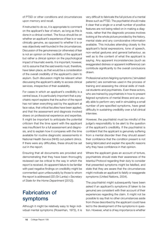of PTSD or other conditions and circumstances upon memory and recall.

If instructed to do so, it is appropriate to comment on the applicant's fear of return, as long as this is done in a clinical context. The focus should be on whether an applicant's experience of fear is or was clinically genuine, as opposed to whether it is or was objectively well-founded in the circumstances. Discussion of the genuineness (or otherwise) of fear is not an opinion on the credibility of the applicant but rather a clinical opinion on the psychological impact of traumatic events. It is important, however, not to assume that the said events must, therefore, have taken place, as that would be a consideration of the overall credibility of the applicant's claim to asylum. Such discussion might be relevant when discussing the applicant's ability to access clinical services, irrespective of their availability.

For cases in which an applicant's credibility is a central issue, it is particularly important that a psychiatric report explains that the author of the report has not taken everything said by the applicant at face value, that critical faculties have been applied, and that the assessment and diagnosis involved draws on professional experience and expertise. It might be important to anticipate the potential criticism that the time spent with the applicant was insufficient for a full assessment and diagnosis, and to explain how it compares with the time available for routine diagnostic assessments in National Health Service (NHS) out-patient clinics. If there were any difficulties, these should be set out in the report.

Ensuring that all documents are provided and demonstrating that they have been thoroughly reviewed can be critical to the way in which the report is received. An apparent failure to be familiar with past negative findings on credibility might be commented upon unfavourably by those to whom the report is addressed (*SS (Sri Lanka) v Secretary of State for the Home Department* [2012]).

#### Fabrication of symptoms

Although it might be relatively easy to feign individual mental symptoms (Rosenhan, 1973), it is very difficult to fabricate the full picture of a mental illness such as PTSD. The psychiatrist should make it clear that a single or a small number of positive features are not being relied on in making a diagnosis, rather that the diagnostic process involves looking at the whole picture provided by the history, mental state and any corroborative information available. This includes attending closely to the applicant's facial expressions, tone of speech, non-verbal gestures and general behaviour, as well as to the content of what the applicant is saying. Any apparent inconsistencies (such as exaggerated distress or apparent indifference) can contribute significantly to the overall conclusions drawn.

Professional actors feigning symptoms ('simulated patients') are sometimes used in the process of training and assessing the clinical skills of medical students and psychiatrists. Even these actors, who are trained by psychiatrists in how to present feigned symptoms of mental illness and are usually able to perform very well in simulating a small number of pre-specified symptoms, have great difficulty in sustaining credibility over a full clinical interview.

However, the psychiatrist must be mindful of the judge's responsibility to be alert to the question of the applicant's credibility. If the psychiatrist is confident that the applicant is genuinely suffering from a mental disorder then they should assert their confidence that the condition present is not being fabricated and explain the specific reasons why they have confidence in that opinion.

Where the applicant gives an account of torture, psychiatrists should state their awareness of the Istanbul Protocol regarding their duty to consider that presented symptoms might be falsified, and state that they are aware that the circumstances might motivate an applicant to falsify or exaggerate symptoms (United Nations, 2004).

The psychiatrist might subsequently have been asked if an applicant's symptoms (if taken to be genuine) are consistent with their account of their experiences regarding the claim. It might not be possible to say that no other circumstances aside from those described by the applicant could have led to the development of the symptoms in question. However, what is of key importance is whether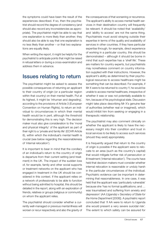the symptoms could have been the result of the experiences described. If so, then the psychiatrist should record the degree of consistency (and should also record any inconsistencies as appropriate). The psychiatrist might be able to say that one explanation is more likely than another; they should also be able to say that one explanation is no less likely than another – or that two explanations are equally likely.

When writing the report, it might be helpful for the psychiatrist to anticipate points that might be raised in refusal letters or during a cross-examination and address them in advance.

#### Issues relating to return

The psychiatrist might be asked to assess the possible consequences of returning an applicant to their country of origin (or a particular region within that country) on their mental health. Put at its highest, it might be 'inhuman and degrading', according to the provisions of Article 3 (European Convention on Human Rights), to return an individual to circumstances in which their mental health would be in peril, although the threshold for demonstrating this is very high. The decision maker must also give consideration to the 'moral and physical integrity' of the applicant as part of their right to a 'private and family life' (ECHR Article 8), within which the individual's mental health is crucial (see below regarding the reasonableness of 'internal relocation').

It is important to bear in mind that the corollary of an individual's return to the country of origin is departure from their current setting (and treatment) in the UK. The impact of the sudden loss of, for example, family and other social supports or treatment networks on the applicant who has engaged in treatment in the UK should be considered in this context. If the applicant relies on a network of professionals to be able to function without being admitted to hospital, this should be detailed in the report, along with an exploration of friends, relatives or groups (religious or community) on whom the applicant relies.

The psychiatrist should consider whether a currently well-managed or previous mental illness will worsen or recur respectively and also the gravity of the consequences of that worsening or recurrence. The applicant's ability to access mental health services in their destination country will frequently be relevant. It should be noted that 'availability' and 'ability to access' are not the same thing. Psychiatrists must avoid straying outside their expertise in terms of the quality and availability of services in other countries. If they have particular expertise through, for example, direct experience of working in a particular country, this should be demonstrated – although it should be borne in mind that such expertise has a 'shelf life'. These are matters for country experts, but psychiatrists may nonetheless comment on country information supplied with their instructions. However, the applicant's ability as determined by their psychological resources to access healthcare might be something that can be described. For example, if Mr X were to be returned to country Y, he would be unable to access mental healthcare, irrespective of whether it was or was not potentially available to him, because of his psychological state. Discussion might take place describing Mr X's genuine fear of authorities (whether real or imagined), which would inhibit him from seeking or engaging in a therapeutic relationship.

The psychiatrist may also comment clinically on whether the applicant is likely to have the necessary insight into their condition and trust in local services to be likely to access such services (should they exist) appropriately.

It is frequently argued that return to the country of origin is possible if the applicant were to relocate to an area (such as the country's capital) that would mitigate further risk of persecution or ill-treatment ('internal relocation'). The courts have held that decision makers must consider whether internal relocation is reasonable or unduly harsh in the particular circumstances of the individual. Psychiatric evidence can be important in determining that reasonableness. In one case, it was held that the applicant was 'particularly vulnerable' because she 'has no formal qualifications; and … was traumatised and suffering from anxiety and depression' (*AA (Uganda) v Secretary of State for the Home Department* [2008]). A psychiatric report concluded that 'if AA were to return to Uganda she would present a very severe suicidal risk'. The extent to which safety can be assured for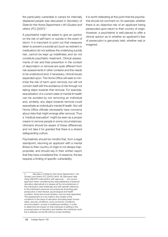the particularly vulnerable in camps for internally displaced people was discussed in *Secretary of State for the Home Department v AH (Sudan) and others (FC)* [2007].4

A psychiatrist might be asked to give an opinion on the risk of self-harm or suicide in the event of return. It is important to point out that measures taken to prevent a suicidal act (such as restraint or medication) do not address the underlying suicide risk, cannot be kept up indefinitely and do not constitute psychiatric treatment. Clinical assessments of risk and their prevention in the context of deportation or removal are quite different from risk assessments in other contexts and this needs to be understood and, if necessary, clinical issues expanded upon. The Home Office will seek to minimise the risk of harm upon removal, but will not concern itself with the avoidance of risk through not taking steps towards that removal. For example, exacerbation of a current state of mental ill-health can be avoided by not removing an individual and, similarly, any steps towards removal could exacerbate an individual's mental ill health. Nor will Home Office officials necessarily have concerns about risks that might emerge after removal. Thus a 'medical evacuation' might be seen as a proper means to remove people in some circumstances; clinicians should be aware of these differences and not take it for granted that there is a shared safeguarding culture.

Psychiatrists should be mindful that, from a legal standpoint, returning an applicant with a mental illness to their country of origin is not always inappropriate, and should say in their written report that they have considered this. In essence, the law requires a finding of specific vulnerability.

It is worth reiterating at this point that the psychiatrist should not comment on, for example, whether there is an objective risk of an applicant being persecuted upon return to their country of origin. However, a psychiatrist is well placed to offer a clinical opinion as to whether an applicant's fear of persecution is genuinely held, whether real or imagined.

<sup>4</sup> *Secretary of State for the Home Department v AH (Sudan) and others (FC)* [2007] UKHL 49, Baroness Hale citing UNHCR's intervention with approval: '... the correct approach when considering the reasonableness of [internal relocation alternative] is to assess all the circumstances of the individual's case holistically and with specific reference to the individual's personal circumstances (including past persecution or fear thereof, psychological and health condition, family and social situation, and survival capacities). This assessment is to be made in the context of the conditions in the place of relocation (including basic human rights, security conditions, socio-economic conditions, accommodation, access to healthcare facilities), in order to determine the impact on that individual of settling in the proposed place of relocation and whether the individual could live a relatively normal life without undue hardship'.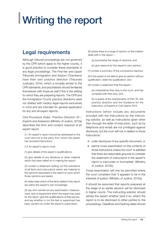## Writing the report

### Legal requirements

Although tribunal proceedings are not governed by the CPR (which apply to the higher courts), it is good practice to consider these standards in any legal proceedings. The First-tier and Upper Tribunals (Immigration and Asylum Chambers) have their own practice direction (Tribunals Judiciary, 2014), which is broadly similar to the CPR standards, and psychiatrists should familiarise themselves with these as well if this is the setting for which they are preparing reports. The CPR and the Immigration Courts practice directions were not drafted with medico-legal reports exclusively in mind and are intended for general application for any and all expert reports.

*Civil Procedure Rules: Practice Direction 35 – Experts and Assessors* (Ministry of Justice, 2012a) describes the form and content required of an expert report:

3.1 An expert's report should be addressed to the court and not to the party from whom the expert has received instructions.

3.2 An expert's report must:

(1) give details of the expert's qualifications;

(2) give details of any literature or other material which has been relied on in making the report;

(3) contain a statement setting out the substance of all facts and instructions which are material to the opinions expressed in the report or upon which those opinions are based;

(4) make clear which of the facts stated in the report are within the expert's own knowledge;

(5) say who carried out any examination, measurement, test or experiment which the expert has used for the report, give the qualifications of that person, and say whether or not the test or experiment has been carried out under the expert's supervision;

(6) where there is a range of opinion on the matters dealt with in the report –

- (a) summarise the range of opinions; and
- (b) give reasons for the expert's own opinion;
- (7) contain a summary of the conclusions reached;

(8) if the expert is not able to give an opinion without qualification, state the qualification; and

(9) contain a statement that the expert –

(a) understands their duty to the court, and has complied with that duty; and

(b) is aware of the requirements of Part 35, this practice direction and the Guidance for the Instruction of Experts in Civil Claims 2014.

Instructions (which include any documents provided with the instructions by the instructing solicitor, as well as instructions given other than through the letter of instruction, such as by telephone and email) are not privileged against disclosure, but the court will not, in relation to those instructions:

- $\bullet$  order disclosure of any specific document, or
- **•** permit cross-examination on the contents of those instructions unless the court 'is satisfied that there are reasonable grounds to consider the statement of instructions in the expert's report is inaccurate or incomplete' (Ministry of Justice, 2012b).

Cross-examination will only be permitted where the court considers that 'it appears to be in the interests of justice' (Ministry of Justice, 2012a).

It should be assumed that reports prepared at the stage of an earlier decison will be disclosed in higher courts. The instructing solicitor should advise the expert whether (and if so, when) the report is to be disclosed to other parties to the proceedings. Deadlines and hearing dates should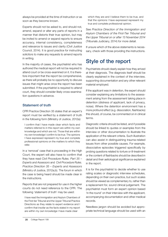always be provided at the time of instruction or as soon as they become known.

Experts should not be asked to, and should not, amend, expand or alter any parts of reports in a manner that distorts their true opinion, but may be invited to amend or expand reports to ensure accuracy, internal consistency, completeness and relevance to issues and clarity (Civil Justice Council, 2014). It is good practice for instructing solicitors to make any requests to amend reports in writing.

In the majority of cases, the psychiatrist who has authored the medical report will not be required to attend court or be cross-examined on it. It is therefore important that the report be comprehensive, as there will probably be no opportunity to discuss issues that might arise once the report has been submitted. If the psychiatrist is required to attend court, they should consider likely cross-examination questions in advance.

#### Statement of truth

CPR Practice Direction 35 states that an expert's report must be verified by a statement of truth in the following form (Ministry of Justice, 2012a):

I confirm that I have made clear which facts and matters referred to in this report are within my own knowledge and which are not. Those that are within my own knowledge I confirm to be true. The opinions I have expressed represent my true and complete professional opinions on the matters to which they refer.

In a 'removal' case that is proceeding in the High Court, the expert will also have to confirm that they have read *Civil Procedure Rules. Part 35 – Experts and Assessors* and *Civil Procedure Rules. Practice Direction 35 – Experts and Assessors* (Ministry of Justice, 2012a,b). The forum in which the case is being heard should be made clear in the instructions.

Reports that are not prepared for use in the higher courts do not need reference to the CPR. The following 'statement of truth' may be used:

I have read the Immigration and Asylum Chambers of the First-tier Tribunal and the Upper Tribunal Practice Directions as they relate to expert evidence and I confirm that insofar as the facts stated in my report are within my own knowledge I have made clear

which they are and I believe them to be true, and that the opinions I have expressed represent my true and complete professional opinion.

See *Practice Direction of the Immigration and Asylum Chambers of the First-Tier Tribunal and the Upper Tribunal on or after 13 November 2014* (Tribunals Judiciary, 2014) for more detail.

If unsure which of the above statements is necessary, check with those providing the instructions.

### Style of the report

Psychiatrists should clearly explain how they arrived at their diagnosis. The diagnosis itself should be clearly explained in the context of the interview, supporting documentation and any other relevant material employed.

If the applicant was in detention, the expert should consider explaining any limitations to the assessment arising from the assessment taking place in detention (distress of applicant, lack of privacy, noise). Where the detention environment has a more profound effect (e.g. dissociation, flashbacks) this should, of course, be commented on in clinical terms.

Diagnostic criteria should be listed, and if possible should be linked to quotes or examples from the interview or other documentation to illustrate the application of the relevant criteria. Such illustration can also assist in distinguishing trauma-related issues from other possible causes. For example, dissociative episodes triggered specifically by probing questions related to torture or ill-treatment or the content of flashbacks should be described in detail and their aetiological significance explained in the report.

It is for the psychiatrist to decide whether to use rating scales or diagnostic interview schedules, depending on their own practice, but such scales should be viewed as complementary to, rather than a replacement for, sound clinical judgement. The psychiatrist must form an expert opinion based 'in the round' on their interview with the applicant, accompanying documentation and other medical records.

Needless jargon should be avoided but appropriate technical language should be used with an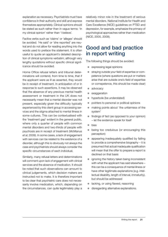explanation as necessary. Psychiatrists must have confidence in their authority and skill and express themselves appropriately. Clinical opinions should be stated as such rather than in vague terms: 'in my clinical opinion' rather than 'I believe'.

Factive verbs such as 'claims' or 'alleges' should be avoided. 'He said' or 'she reported' are neutral and do not allow for reading anything into the words used to preface the statement. It is often useful to quote an applicant's detailed description of clinical symptoms verbatim, although very lengthy quotations without specific clinical significance should be avoided.

Home Office refusal letters and tribunal determinations will contend, from time to time, that if the applicant were as ill as asserted, they would be in receipt of treatment. In anticipation of or in response to such assertions, it may be observed that the absence of any previous mental health assessment or treatment in the UK does not necessarily mean that a mental disorder was not present, especially given the difficulty typically experienced by this client group in accessing services and the stigma attached to mental illness in some cultures. This can be contextualised with the 'treatment gap' evident in the general public, where only a quarter of people with common mental disorders and two-thirds of people with psychosis are in receipt of treatment (McManus *et al*, 2009). In some cases, a lack of engagement with services can be related to the existence of a disorder, although this is obviously not always the case and psychiatrists should always consider the specific circumstances of each individual.

Similarly, many refusal letters and determinations will comment upon lack of engagement with clinical services and the absence of medication. It should be noted that such observations can amount to clinical judgements, which decision makers are instructed not to make. It is therefore important to be clear that psychiatric care does not necessarily involve medication, which, depending on the circumstances, can quite legitimately play a

relatively minor role in the treatment of serious mental disorders. National Institute for Health and Care Excellence (NICE) guidelines on PTSD and depression, for example, emphasize the primacy of psychological approaches rather than medication (NICE, 2005, 2009).

#### Good and bad practice in report writing

The following things should be avoided:

- expressing legal opinions
- straying outside your field of expertise or competence (where questions are put or matters arise that are outside one's field of expertise or comepetence, this should be made clear)
- advocacy
- exaggeration
- hyperbole (be understated)
- pointers to personal or political opinions
- making points about 'the unfairness of the system'
- $\bullet$  findings of fact (as opposed to your opinion) – let the evidence speak for itself
- z bias
- being too credulous (or encouraging this perception)
- $\bullet$  appearing inadequately qualified by failing to provide a comprehensive biography – it is presumed that actual inadequate qualification will mean that the offer to prepare a report is declined on that basis
- $\bullet$  ignoring the history taken being inconsistent with what the applicant has said elsewhere – this can be a consequence of mental illness or have other legitimate explanations (e.g. intellectual disability, length of interval, immaturity), but should be addressed
- lacking, or using flawed, reasoning
- disregarding alternative explanations.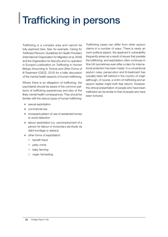## Trafficking in persons

Trafficking is a complex area and cannot be fully explored here. See, for example, *Caring for Trafficked Persons: Guidelines for Health Providers*  (International Organization for Migration *et al*, 2009) and the Organization for Security and Co-operation in Europe's publication on *Trafficking in Human Beings Amounting to Torture and Other Forms of Ill-Treatment* (OSCE, 2013) for a fuller discussion of the mental health aspects of human trafficking.

Where there is an allegation of trafficking, the psychiatrist should be aware of the common patterns of trafficking experiences and also of the likely mental health consequences. They should be familiar with the various types of human trafficking:

- $\bullet$  sexual exploitation
- z commercial sex
- $\bullet$  increased pattern of use of residential homes to avoid detection
- labour exploitation (i.e. use/employment of a person for labour or involuntary servitude via debt bondage or slavery)
- $\bullet$  other forms of exploitation:
	- { benefit fraud
	- $\circ$  petty crime
	- $\circ$  baby farming
	- ${\circ}$  organ harvesting.

Trafficking cases can differ from other asylum claims in a number of ways. There is rarely an overt political aspect, the applicant's vulnerability frequently arises as a result of issues that predate the trafficking, and exploitation often continues in tthe UK (sometimes even after a claim for international protection has been made). In a conventional asylum case, persecution and ill-treatment has (usually) been left behind in the country of origin (although, of course, a victim of trafficking and an asylum seeker might both fear return). However, the clinical presentation of people who have been trafficked can be similar to that of people who have been tortured.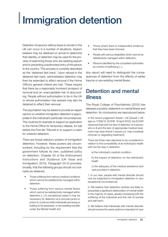## Immigration detention

Detention of persons without leave to remain in the UK can occur in a number of situations. Asylum seekers may be detained on arrival to determine their identity, or detention may be used for the process of examining those who are seeking asylum and/or preventing unauthorised entry of the person to the country. This process is currently described as the 'detained fast track'. Upon refusal in the detained fast track, administrative detention may then be extended to effect removal if the Home Office's general criteria are met. These require that there be a reasonably imminent prospect of removal and an unacceptable risk of absconding. People without authorisation to be in the UK or whose authorisation has expired may also be detained to effect their removal.

The psychiatrist may be asked to provide an expert opinion on whether immigration detention is appropriate in the individual's particular circumstances. This could be for example to support an application to the Home Office for temporary release, for bail before the First-tier Tribunal or to support a claim for unlawful detention.

There are broad statutory powers of immigration detention. However, these powers are circumscribed, including by the requirement that the government follows its own, published policy on detention, Chapter 55 of the *Enforcement Instructions and Guidance* (UK Visas and Immigration, 2013). Paragraph 55.10 provides, broadly, that the following groups should not ordinarily be detained:

- Those suffering from serious medical conditions which cannot be satisfactorily managed within detention.
- Those suffering from serious mental illness which cannot be satisfactorily managed within detention [...] In exceptional cases it may be necessary for detention at a removal centre or prison to continue while individuals are being or waiting to be assessed, or are awaiting transfer under the Mental Health Act.
- Those where there is independent evidence that they have been tortured.
- People with serious disabilities which cannot be satisfactorily managed within detention.
- Persons identified by the competent authorities as victims of trafficking [...].

Any report will need to distinguish the consequences of detention from the effects of earlier trauma or pre-existing mental illness.

#### Detention and mental illness

The Royal College of Psychiatrists (2013) has released a position statement on mental illness and detention. Its conclusions are reproduced below.

In the recent judgement Aswat v UK [Aswat v UK app no 17299/12, ECtHR, 16 April 2013], the ECtHR observed that both the fact of detention of a person who is ill and the lack of appropriate medical treatment may raise Article 3 issues (i.e. may constitute inhuman or degrading treatment).

There are three main elements to be considered in relation to the compatibility of an individual's health with her/his stay in detention:

- a) the individual's medical condition;
- b) the impact of detention on the individual's health
- c) the adequacy of the medical assistance and care provided in detention

1. In our view, people with mental disorder should only be subjected to immigration detention in very exceptional circumstances.

2. We believe that detention centres are likely to precipitate a significant deterioration of mental health in the majority of cases, greatly increasing both the suffering of the individual and the risk of suicide and self-harm.

3. We believe that individuals with mental disorder should receive the same optimum standard of care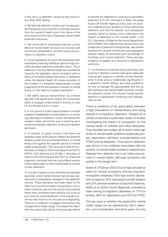if they are in a detention centre as they would in any other NHS setting.

4. We feel that detention centres are not appropriate therapeutic environments to promote recovery from the mental ill health due to the nature of the environment and the lack of specialist mental health treatment resources.

5. We would like to emphasise that the current ethos of mental health services is on recovery and community rehabilitation, and this cannot be provided in a detention centre.

6. Current guidelines for good clinical practice also emphasise protecting individual rights through providing the least restrictive treatment option. This is reflected in the new Mental Health Act and Mental Capacity Act legislation, and is consistent with an ethos of avoiding inpatient admission or detention under the Mental Health Act where possible. In this context, it is therefore inappropriate to base judgements of the seriousness or severity of mental illness on 'the need for inpatient admission'.

7. We define 'serious mental illness' as a mental disorder that significantly impairs the individual's ability to engage constructively in society, to care for him/herself and/or to work.

8. In our opinion it is also inappropriate to consider inpatient hospitalisation as equivalent to, or as the only alternative to detention centre. We believe this creates a false dichotomy and a revolving door syndrome between detention centre and inpatient admission.

9. It remains of great concern that there are repeated cases where asylum seekers are detained despite a clear and documented history of mental illness and against the specific advice of mental health professionals. (This occurred in both [*R (S) v Secretary of State for the Home Department* [2011] EWHC 2120 (Admin)] and [*R (BA) v Secretary of State for the Home Department* [2011]], where the judgment concluded that they had suffered serious further deterioration in their mental state as a result of their detention).

10. It is also of great concern that there are repeated examples where mental disorder has not been satisfactorily or adequately managed in the detention centres. These examples have been taken to the High Court and the provision of psychiatric care in these instances was not only found to be woefully below that considered best practice but to be so poor that the overall treatment of the people concerned was found to be inhuman and degrading. There is no evidence to suggest that practice has changed since these rulings. It is noteworthy that in both the cases cited above, there was also failure to transfer the detainee for compulsory psychiatric treatment. In *R (S) v Secretary of State*, the judge found [UK Border Agency] policy was not properly understood and applied by those authorising detention, and that the decision and subsequent reviews failed to assess and understand the impact of detention on S's mental health. In [*R (D) v Secretary of State for the Home Department* [2012] EWHC 2501 (Admin)] the claimant (who had a diagnosis of paranoid schizophrenia), was denied treatment for several months and was segregated despite clearly documented prior knowledge of his illness and current treatment. There was also evidence of neglect and recourse to disciplinary sanctions.

11. It is therefore crucial that clinical and other staff working in detention centres were given adequate training and support to identify mental disorder when it does arise or deteriorate significantly in a detention centre setting, and clear guidelines on how to manage this appropriately and link up with existing local mental health provision outside the detention centre. This should include specific attention to appropriate monitoring and management of risk.

There is evidence of an association between a high prevalence of mental illness and being placed in immigration detention. Robjant *et al* (2009) conducted a systematic review of studies investigating the impact of immigration on the mental health of children and adult detainees. They identified ten studies, all of which noted high levels of mental health problems (especially anxiety, depression, self-harm, suicidal ideation and PTSD) among detainees. Time spent in detention was shown to be positively associated with the severity of mental health problems experienced. Release from detention led to an initial improvement in mental health, although symptoms did persist in the longer term.

Sultan & O'Sullivan (2001) found high prevalence rates for mental symptoms among long-term immigration detainees: 85% had chronic depressive symptoms; 65% expressed suicidal ideation and 21% showed evidence of psychotic features. Keller *et al* (2003) found diagnostic prevalence rates among immigration detainees of 77% for anxiety, 86% for depression and 50% for PTSD.

The key issue is whether the applicant's mental health needs can be satisfactorily met in detention, and consideration should be given not only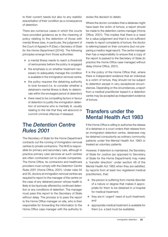to their current needs but also to any realistic exacerbation of their condition as a consequence of detention.

There are numerous cases in which the courts have provided guidance as to the meaning of policy relating to the detention of those with mental illness (see, in particular, the judgment of the Court of Appeal in *R (Das) v Secretary of State for the Home Department* [2014]). The following principles emerge from those authorities:

- a mental illness needs to reach a threshold of seriousness before the policy is engaged
- $\bullet$  the emphasis is on whether treatment necessary to adequately manage the condition is available in the immigration removal centre.
- $\bullet$  the policy requires the detaining authority to look forward (i.e. to consider whether a detainee's mental illness is likely to deteriorate within the envisaged period of detention)
- there need to be compelling factors in favour of detention to justify the immigration detention of someone who is mentally ill, usually relating to the risk that they will abscond or commit criminal offences if released.

#### The *Detention Centre Rules 2001*

The Secretary of State for the Home Department contracts out the running of immigration removal centres to private contractors. The NHS is responsible for primary and secondary care, although in practice primary care services at such centres are often contracted out to private companies. The Home Office, its contractors and healthcare providers must comply with the *Detention Centre Rules 2001* (Home Office, 2001). Under rules 34 and 35, doctors at immigration removal centres are required to report to the manager of the centre on the case of any detained person whose health is likely to be injuriously affected by continued detention or any conditions of detention. The manager must pass this report to the Secretary of State without delay. The process is to pass the report to the Home Office manager on site, who is then responsible for forwarding the information to the Home Office case manager with the authority to

review the decision to detain.

Where the doctor considers that a detainee might have been the victim of torture, a report should be made to the detention centre manager (Home Office, 2001). This implies that there is a need for a value judgement and that it is not sufficient merely to report complaints of torture; the doctor is referring based on their concerns (but not preparing a medico-legal report). The centre manager then has a responsibility to ensure that a copy of the report is passed to the Secretary of State (in practice the Home Office case manager) without delay (Home Office, 2001).

It is the policy of the Home Office that, where there is independent evidence that an individual is a victim of torture, they should not be subject to detention except in very exceptional circumstances. Depending on the circumstances, a report from a medical practitioner based in a detention centre may be accepted as independent evidence of torture.

#### Transfers under the Mental Health Act 1983

If the Home Office is willing to authorise the release of a detainee or a court orders their release from an immigration detention centre, detainees may be detained compulsorily as ordinary community patients under the Mental Health Act 1983 or treated as voluntary patients.

However, if detention is maintained, the Secretary of State for Justice (as opposed to Secretary of State for the Home Department) may make a 'transfer direction' under section 48 of the Mental Health Act 1983 when they are satisfied, by reports from at least two registered medical practitioners, that:

- $\bullet$  the person is suffering from mental disorder of a nature or degree that makes it appropriate for them to be detained in a hospital for medical treatment;
- $\bullet$  they are in 'urgent' need of such treatment: and
- $\bullet$  appropriate medical treatment is available for them (i.e. a bed must be available).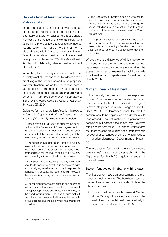#### Reports from at least two medical practitioners

There is no statutory time limit between the date of the report and the date of the decision of the Secretary of State for Justice to direct transfer. However, the practice of the Mental Health Unit at the Ministry of Justice is to require two medical reports, which must not be more than 2 months old and dated within 2 weeks of the examination. One of the registered medical practitioners must be approved under section 12 of the Mental Health Act 1983 (for detailed guidance, see Department of Health, 2011).

In practice, the Secretary of State for Justice will normally want at least one of the two doctors to be practising at the hospital named in the proposed transfer direction, 'so as to ensure that there is agreement as to the hospital's reception of the patient and as to [their] diagnosis, treatability and detention' (*R (on the appl'n of D) v Secretary of State for the Home Office (1) National Assembly for Wales (2)* [2004]).

Guidance for the preparation of section 48 reports is found in Appendix 5 of the Department of Health's (2011, p. 31) guide to such transfers:

i. Please provide a full report to support the application for the Secretary of State's agreement to transfer the prisoner to hospital, based on your assessment of the prisoner, clearly setting out the reasons for your conclusions and recommendations.

ii. The report should refer to the level of physical, relational and procedural security appropriate to the clinical needs of the prisoner and include a recommendation for the level of security (PICU, low, medium or high) in which treatment is required.

iii. If the prisoner has a learning disability, the report should demonstrate how this is associated with abnormally aggressive or seriously irresponsible conduct. In that case, the report should indicate if the prisoner is suffering from an associated mental disorder.

iv. The report must set out the nature and degree of mental disorder that makes detention for treatment in hospital appropriate and indicate the urgency of the need for treatment. The report must make it clear that appropriate medical treatment is available to the prisoner and indicate where this treatment is available.

v. The Secretary of State's decision whether to direct transfer to hospital is based on an assessment of risk. It will take account of a range of issues including public protection, and the need to ensure that the remand or sentence of the Court is preserved.

vi. The physical security and clinical needs of the prisoner based on their individual circumstances, previous history, including offending history, and treatment requirements, are essential elements of the decision.

Where there is a difference of clinical opinion on the need for transfer, and a resolution cannot be agreed by the two doctors undertaking the assessments, an agreement should be made about seeking a third-party view (Department of Health, 2011).

#### 'Urgent' need of treatment

In their report, the Reed Committee expressed concern 'that the requirement under section 48 that the need for treatment should be "urgent" is often interpreted narrowly' (Langdale Reed & Reed, 1992). The Committee concluded that this section 'should be applied where a doctor would recommend in-patient treatment if a person were seen as an out-patient in the community'. However, this is absent from the 2011 guidance, which states that there must be an 'urgent' need for treatment in respect of unsentenced prisoners (which includes immigration detainees; Department of Health, 2011).

The procedure for transfers with 'suggested timeframes' is set out at paragraph 4.5 of the Department for Health (2011) guidance, and summarised below.

#### Stage 1 (suggested timeframe within 2 days)

The first doctor makes an assessment and produces a medical report. The healthcare team at the immigration removal centre should take the following actions.

• Contact the Mental Health Casework Section at the Ministry of Justice for advice on the level of secure mental health service likely to be required, and send form H1003.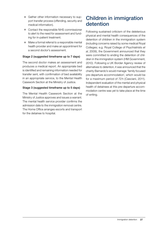- Gather other information necessary to support transfer process (offending, security and medical information).
- Contact the responsible NHS commissioner to alert to the need for assessment and funding for in-patient treatment.
- $\bullet$  Make a formal referral to a responsible mental health provider and make an appointment for a second doctor's assessment.

#### Stage 2 (suggested timeframe up to 7 days)

The second doctor makes an assessment and produces a medical report. An appropriate bed is identified and remaining information needed for transfer sent, with confirmation of bed availability in an appropriate service, to the Mental Health Casework Section at the Ministry of Justice.

#### Stage 3 (suggested timeframe up to 5 days)

The Mental Health Casework Section at the Ministry of Justice approves and issues a warrant. The mental health service provider confirms the admission date to the immigration removal centre. The Home Office arranges escorts and transport for the detainee to hospital.

#### Children in immigration detention

Following sustained criticism of the deleterious physical and mental health consequences of the detention of children in the immigration system (including concerns raised by some medical Royal Colleges; e.g. Royal College of Psychiatrists *et al*, 2009), the Government announced that they were committed to ending the detention of children in the immigration system (HM Government, 2010). Following a UK Border Agency review of alternatives to detention, it was announced that the charity Barnardo's would manage 'family focused pre-departure accommodation', which would be for a maximum period of 72h (Casciani, 2011). Independent evaluation of the mental and physical health of detainees at this pre-departure accommodation centre was yet to take place at the time of writing.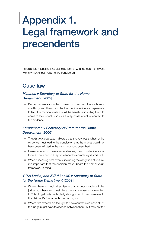## Appendix 1. Legal framework and precendents

Psychiatrists might find it helpful to be familiar with the legal framework within which expert reports are considered.

### Case law

#### *Mibanga v Secretary of State for the Home Department* [2005]

• Decision makers should not draw conclusions on the applicant's credibility and then consider the medical evidence separately. In fact, the medical evidence will be beneficial in aiding them to come to their conclusions, as it will provide a factual context to the evidence.

#### *Karanakaran v Secretary of State for the Home Department* [2000]

- **The Karanakaran case indicated that the key test is whether the** evidence must lead to the conclusion that the injuries could not have been inflicted in the circumstances described.
- However, even in these circumstances, the clinical evidence of torture contained in a report cannot be completely dismissed.
- $\bullet$  When assessing past events, including the allegation of torture, it is important that the decision maker bears the *Karanakaran* framework in mind.

#### *Y (Sri Lanka) and Z (Sri Lanka) v Secretary of State for the Home Department* [2009]

- $\bullet$  Where there is medical evidence that is uncontradicted, the judge must have and must give acceptable reasons for rejecting it. This obligation is particularly strong when it directly relates to the claimant's fundamental human rights.
- Where two experts are thought to have contradicted each other, the judge might have to choose between them, but may not for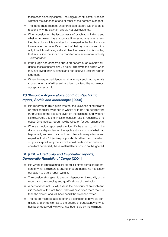that reason alone reject both. The judge must still carefully decide whether the evidence of one or other of the doctors is cogent.

- The judge must respect uncontradicted expert evidence as to reasons why the claimant should not give evidence.
- When considering the factual basis of psychiatric findings and whether a claimant has exaggerated their symptoms when examined by a doctor, it is a matter for the expert in the first instance to evaluate the patient's account of their symptoms and 'it is only if the tribunal has good and objective reason for discounting that evaluation that it can be modified or – even more radically – disregarded'.
- **•** If the judge has concerns about an aspect of an expert's evidence, these concerns should be put directly to the expert when they are giving their evidence and not reserved until the written judgment.
- When the expert evidence is 'all one way and not materially shaken in terms of either authorship or content' the judge must accept and act on it.

#### *XS (Kosovo – Adjudicator's conduct, Psychiatric report) Serbia and Montenegro* [2005]

- $\bullet$  It is important to distinguish whether the relevance of psychiatric or other medical evidence is wholly or in part to support the truthfulness of the account given by the claimant, and whether its relevance is that the illness or condition exists, regardless of its cause. One medical report may be relied on for both arguments.
- $\bullet$  Where a medical report seeks to 'identify the extent to which the diagnosis is dependent on the applicant's account of what had happened', and reach a conclusion, based on experience and expertise that is 'objectively supportable rather than one which simply accepted symptoms which could be described but which could not be verified', these 'material facts' should not be ignored.

#### *HE (DRC – Credibility and Psychiatric reports) Democratic Republic of Congo* [2004]

- $\bullet$  It is wrong to ignore a medical report if it offers some corroboration for what a claimant is saying, though there is no necessary obligation to give a report weight.
- $\bullet$  The consideration given to a report depends on the quality of the report and the standing and qualifications of the doctor.
- $\bullet$  A doctor does not usually assess the credibility of an applicant; it is the task of the fact-finder 'who will have often more material than the doctor, and will have heard the evidence tested'.
- $\bullet$  The report might be able to offer a description of physical conditions and an opinion as to the degree of consistency of what has been observed with what has been said by the claimant.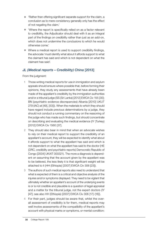- 'Rather than offering significant separate support for the claim, a conclusion as to mere consistency generally only has the effect of not negating the claim.'
- $\bullet$  'Where the report is specifically relied on as a factor relevant to credibility, the Adjudicator should deal with it as an integral part of the findings on credibility rather than just as an add-on, which does not undermine the conclusions to which he would otherwise come.'
- Where a medical report is used to support credibility findings, the advocate 'must identify what about it affords support to what the claimant has said and which is not dependent on what the claimant has said'.

#### *JL (Medical reports – Credibility) China* [2013]

From the judgment:

- 1 Those writing medical reports for use in immigration and asylum appeals should ensure where possible that, before forming their opinions, they study any assessments that have already been made of the appellant's credibility by the immigration authorities and/or a tribunal judge (SS (Sri Lanka) [2012] EWCA Civ 155 [30]; BN (psychiatric evidence discrepancies) Albania [2010] UKUT 279 (IAC) at [49], [53])). When the materials to which they should have regard include previous determinations by a judge, they should not conduct a running commentary on the reasoning of the judge who has made such findings, but should concentrate on describing and evaluating the medical evidence (IY (Turkey) [2012] EWCA Civ 1560 [37].
- 2 They should also bear in mind that when an advocate wishes to rely on their medical report to support the credibility of an appellant's account, they will be expected to identify what about it affords support to what the appellant has said and which is not dependent on what the appellant has said to the doctor (HE (DRC, credibility and psychiatric reports) Democratic Republic of Congo [2004] UKAIT 000321). The more a diagnosis is dependent on assuming that the account given by the appellant was to be believed, the less likely it is that significant weight will be attached to it (HH (Ethiopia) [2007] EWCA Civ 306 [23]).
- 3 The authors of such medical reports also need to understand that what is expected of them is a critical and objective analysis of the injuries and/or symptoms displayed. They need to be vigilant that ultimately whether an appellant's account of the underlying events is or is not credible and plausible is a question of legal appraisal and a matter for the tribunal judge, not the expert doctors (IY [47]; see also HH (Ethiopia) [2007] EWCA Civ 306 [17]-[18]).
- 4 For their part, judges should be aware that, whilst the overall assessment of credibility is for them, medical reports may well involve assessments of the compatibility of the appellant's account with physical marks or symptoms, or mental condition: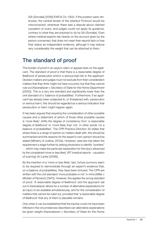(SA (Somalia) [2006] EWCA Civ 1302). If the position were otherwise, the central tenets of the Istanbul Protocol would be misconceived, whenever there was a dispute about claimed causation of scars, and judges could not apply its guidance, contrary to what they are enjoined to do by SA (Somalia). Even where medical experts rely heavily on the account given by the person concerned, that does not mean their reports lack or lose their status as independent evidence, although it may reduce very considerably the weight that can be attached to them.

### The standard of proof

The burden of proof in an asylum claim or appeal rests on the applicant. The standard of proof is that there is a reasonable degree of likelihood of persecution and/or a serious/real risk to the applicant. Decision makers and judges must not exclude from their consideration matters that they think might not have occurred, but that they cannot rule out (*Karanakaran v Secretary of State for the Home Department*  [2000]). This is a very low standard and significantly lower than the civil standard of a 'balance of probabilities'. Furthermore, if an applicant has already been subjected to, or threatened with, persecution or serious harm, this should be regarded as a serious indication that persecution or harm might happen again.

It has been argued that requiring the consideration of other possible causes and a statement of which of those other possible causes is 'more likely' shifts the degree of consistency from 'a reasonable degree of likelihood' to 'more likely than not', in other words 'on a balance of probabilities'. The CPR Practice Direction 35 states that where there is a range of opinion on matters dealt with, this should be summarised and the reasons for the expert's own opinion should be stated (Ministry of Justice, 2012a). However, case law has taken the requirement a stage further by asking physicians to identify "pointers" … which may make the particular explanation for the injury advanced by the complainant more or less likely' (*RT (medical reports - causation of scarring) Sri Lanka* [2008]).

By the insertion of a 'more or less likely' test, torture survivors seem to be required to demonstrate through an expert's evidence that, on a balance of probabilities, they have been tortured. The CPR are written with the civil standard 'more probable or not' in mind (*Miller v Minister of Pensions* [1947]). However, this applies the wrong standard of proof. 'A reasonable degree of likelihood' and the approach set out in *Karanakaran* allows for a number of alternative explanations for an injury to be available simultaneously, and for the consideration of matters that cannot be ruled out, provided that 'a reasonable degree of likelihood' that any of them is plausible remains.

Only when it can be established that the injuries could not have been inflicted in the circumstances described can alternative explanations be given weight (*Karanakaran v Secretary of State for the Home*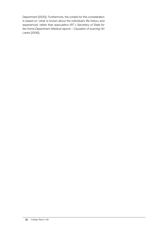*Department* [2000]). Furthermore, the context for this consideration is based on 'what is known about the individual's life history and experiences' rather than speculation (*RT v Secretary of State for the Home Department (Medical reports – Causation of scarring) Sri Lanka* [2008]).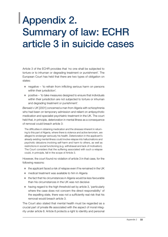## Appendix 2. Summary of law: ECHR article 3 in suicide cases

Article 3 of the ECHR provides that 'no one shall be subjected to torture or to inhuman or degrading treatment or punishment'. The European Court has held that there are two types of obligation on states:

- $\bullet$  negative 'to refrain from inflicting serious harm on persons within their jurisdiction'.
- $\bullet$  positive 'to take measures designed to ensure that individuals within their jurisdiction are not subjected to torture or inhuman and degrading treatment or punishment'.

*Bensaid v UK* [2001] concerned a man from Algeria with schizophrenia who had been on temporary admission and reliant on antipsychotic medication and specialist psychiatric treatment in the UK. The court held that, in principle, deterioration in mental illness as a consequence of removal could breach article 3:

The difficulties in obtaining medication and the stresses inherent in returning to this part of Algeria, where there is violence and active terrorism, are alleged to endanger seriously his health. Deterioration in the applicant's already existing mental illness could involve relapse into hallucinations and psychotic delusions involving self-harm and harm to others, as well as restrictions in social functioning (e.g. withdrawal and lack of motivation). The Court considers that the suffering associated with such a relapse could, in principle, fall in the scope of Article 3.

However, the court found no violation of article 3 in that case, for the following reasons:

- $\bullet$  the applicant faced a risk of relapse even if he remained in the UK
- $\bullet$  medical treatment was available to him in Algeria
- $\bullet$  the fact that his circumstances in Algeria would be less favourable than his circumstances in the UK was not decisive
- $\bullet$  having regard to the high threshold set by article 3, 'particularly where the case does not concern the direct responsibility' of the expelling state, there was not a sufficiently real risk that his removal would breach article 3.

The Court also stated that mental health must be regarded as a crucial part of private life associated with the aspect of moral integrity under article 8. Article 8 protects a right to identity and personal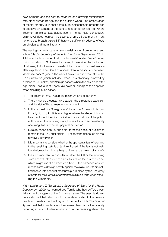development, and the right to establish and develop relationships with other human beings and the outside world. The preservation of mental stability is, in that context, an indispensable precondition to effective enjoyment of the right to respect for private life. Where treatment (in this context, deterioration in mental health consequent on removal) does not reach the severity of article 3 treatment, it might nonetheless breach article 8 if there are sufficiently adverse effects on physical and moral integrity.

The leading domestic case on suicide risk arising from removal and article 3 is *J v Secretary of State for the Home Department* [2011]. A tribunal had concluded that J had no well-founded fear of persecution on return to Sri Lanka. However, J maintained he had a fear of returning to Sri Lanka to the extent that he would commit suicide after expulsion. The Court of Appeal drew a distinction between 'domestic cases' (where the risk of suicide arose while still in the UK's jurisdiction (which included 'when he is physically removed by airplane to Sri Lanka')) and 'foreign cases' (where the risk arose after expulsion). The Court of Appeal laid down six principles to be applied when deciding such cases.

- 1 The treatment must reach the minimum level of severity.
- 2 There must be a causal link between the threatened expulsion and the risk of ill-treatment under article 3.
- 3 In the context of a 'foreign case' the article 3 threshold is 'particularly high [...] And it is even higher where the alleged inhuman treatment is not the direct or indirect responsibility of the public authorities in the receiving state, but results from some naturally occurring illness, whether physical or mental'.
- 4 Suicide cases can, in principle, form the basis of a claim to remain in the UK under article 3. The threshold for such claims, however, is very high.
- 5 It is important to consider whether the applicant's fear of returning to the receiving state is objectively based. If the fear is not wellfounded, expulsion is less likely to give rise to a breach of article 3.
- 6 It is also important to consider whether the UK or the receiving state has 'effective mechanisms' to reduce the risk of suicide, which might avoid a breach of article 3: the presence of such mechanisms will weigh heavily against the claim. Courts are entitled to take into account measures put in place by the Secretary of State for the Home Department to minimise risks when expelling the vulnerable.

*Y (Sri Lanka) and Z (Sri Lanka) v Secretary of State for the Home Department* [2009] concerned two Tamils who had suffered past ill-treatment by agents of the Sri Lankan state. The psychiatric evidence showed that return would cause deterioration in their mental health and create a risk that they would commit suicide. The Court of Appeal held that, in such cases, the cause of harm is not the naturally occurring illness but intentional action by the receiving state: 'the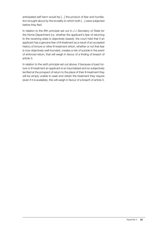anticipated self harm would be […] the product of fear and humiliation brought about by the brutality to which both […] were subjected before they fled'.

In relation to the fifth principle set out in *J v Secretary of State for the Home Department* (i.e. whether the applicant's fear of returning to the receiving state is objectively based), the court held that if an applicant has a genuine fear of ill-treatment as a result of an accepted history of torture or other ill-treatment which, whether or not that fear is now objectively well-founded, creates a risk of suicide in the event of enforced return, that will weigh in favour of a finding of breach of article 3.

In relation to the sixth principle set out above, if because of past torture or ill-treatment an applicant is so traumatised and so subjectively terrified at the prospect of return to the place of their ill-treatment they will be simply unable to seek and obtain the treatment they require (even if it is available), this will weigh in favour of a breach of article 3.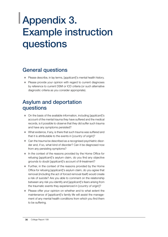## Appendix 3. Example instruction questions

### General questions

- **•** Please describe, in lay terms, [applicant]'s mental health history.
- Please provide your opinion with regard to current diagnoses by reference to current DSM or ICD criteria (or such alternative diagnostic criteria as you consider appropriate).

### Asylum and deportation questions

- On the basis of the available information, including [*applicant*]'s account of the mental trauma they have suffered and the medical records, is it possible to observe that they did suffer such trauma and have any symptoms persisted?
- What evidence, if any, is there that such trauma was suffered and that it is attributable to the events in [*country of origin*]?
- Can the trauma be described as a recognised psychiatric disorder and, if so, what kind of disorder? Can it be diagnosed now from any persisting symptoms?
- In the context of the reasons provided by the Home Office for refusing [*applicant*]'s asylum claim, do you find any objective grounds to doubt [*applicant*]'s account of ill-treatment?
- Further, in the context of the reasons provided by the Home Office for refusing [*applicant*]'s asylum claim, do you agree that removal (including the act of forced removal itself) would create a risk of suicide? Are you able to comment on the relationship between any risk you identify and [*applicant*]'s fears arising from the traumatic events they experienced in [*country of origin*]?
- Please offer your opinion on whether and to what extent the maintenance of [*applicant*]'s family life will assist the management of any mental health conditions from which you find them to be suffering.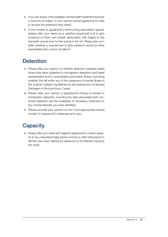- **•** If you are aware of the available mental health treatment/services in [*country of origin*], in your opinion would [*applicant*] be able to access the treatment they need?
- In the context of *[applicant]*'s forthcoming deportation appeal, please offer your views as to whether [*applicant*] is fit to give evidence on their own behalf, particularly with regard to the traumatic events prior to their arrival in the UK. Please also consider whether a requirement to give evidence would be likely exacerbate their current condition?

## **Detention**

- Please offer your opinion on whether detention between [*date*] (when they were subjected to immigration detention) and [*date*] exacerbated and/or precipitated psychiatric illness (including whether this fell within any of the categories of mental illness in the Judicial College's *Guidelines for the Assessment of General Damages in Personal Injury Cases*.
- **•** Please offer your opinion of [*applicant*]'s fitness to remain in immigration detention, including the risks associated with continued detention and the availability of necessary treatment for any mental disorder you have identified.
- Please provide your opinion on the most appropriate clinical context for [*applicant*]'s treatment and care.

### **Capacity**

**•** Please offer your views with regard to [applicant]'s current capacity to (a) understand legal advice and (b) to offer instructions in his/her own best interest by reference to the Mental Capacity Act 2005.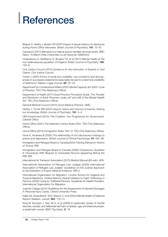## **References**

Bögner D, Herlihy J, Brewin CR (2007) Impact of sexual violence on disclosure during Home Office interviews. *British Journal of Psychiatry*, 191: 75–81.

Casciani D (2011) Barnardo's to help at asylum families removal centre. *BBC News*, 10 March (http://www.bbc.co.uk/news/uk-12690444).

Chakraborty A, McManus S, Brugha TS, *et al* (2011) Mental health of the non-heterosexual population of England. *British Journal of Psychiatry*, 198: 143–8.

Civil Justice Council (2014) *Guidance for the Instruction of Experts in Civil Claims*. Civil Justice Council.

Cohen J (2001) Errors of recall and credibility: can omissions and discrepancies in successive statements reasonably be said to undermine credibility of testimony? *Medico-Legal Journal*, 69: 25–34.

Department for Constitutional Affairs (2007) *Mental Capacity Act 2005: Code of Practice*. TSO (The Stationery Office).

Department of Health (2011) *Good Practice Procedure Guide: The Transfer and Remission of Adult Prisoners under s47 and s48 of the Mental Health Act*. TSO (The Stationery Office).

General Medical Council (2013) *Good Medical Practice*. GMC.

Herlihy J, Turner SW (2007) Asylum claims and memory of trauma: sharing our knowledge. *British Journal of Psychiatry*, 191: 3–4.

HM Government (2010) *The Coalition: Our Programme for Government*. Cabinet Office

Home Office (2001) *The Detention Centre Rules 2001*. TSO (The Stationery Office).

Home Office (2014) *Immigration Rules: Part 12*. TSO (The Stationery Office).

Hook A, Andrews B (2005) The relationship of non-disclosure in therapy to shame and depression. *British Journal of Clinical Psychology*, 44: 425–38.

Immigration and Refugee Board of Canada(2004) *Training Manual on Victims of Torture*. IRB.

Immigration and Refugee Board of Canada (2006) *Chairperson Guideline 8: Procedures With Respect to Vulnerable Persons Appearing Before the IRB*. IRB.

International Air Transport Association (2013) *Medical Manual* (6th edn). IATA.

International Association of Refugee Law Judges (2009) *International Association of Refugee Law Judges' Guidelines on the Judicial Approach to the Evaluation of Expert Medical Evidence*. IARLJ.

International Organization for Migration, London School for Hygiene and Tropical Medicine, United Nations Global Initiative to Fight Trafficking in Persons (2009) *Caring for Trafficked Persons: Guidelines for Health Providers*. International Organization for Migration.

Judicial College (2015) *Guidelines for the Assessment of General Damages in Personal Injury Cases*. Oxford University Press.

Keller AS, Rosenfeld B, Trinh-Shevrin C, *et al* (2003) Mental Health of Detained Asylum Seekers. *Lancet*, 362: 1721–3.

King M, Semlyen J, See Tai S, *et al* (2008) A systematic review of mental disorder, suicide, and deliberate self harm in lesbian, gay and bisexual people: a systematic review. *BMC Psychiatry*, 8: 70.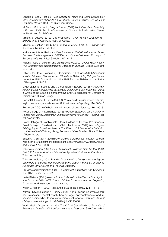Langdale Reed J, Reed J (1992) *Review of Health and Social Services for Mentally Disordered Offenders and Others Requiring Similar Services: Final Summary Report*. TSO (The Stationery Office).

McManus S, Meltzer H, Brugha T, *et al* (2009) *Adult Psychiatric Morbidity in England, 2007: Results of a Household Survey*. NHS Information Centre for Health and Social Care.

Ministry of Justice (2012a) *Civil Procedure Rules: Practice Direction 35 – Experts and Assessors*. Ministry of Justice.

Ministry of Justice (2012b) *Civil Procedure Rules: Part 35 – Experts and Assessors*. Ministry of Justice.

National Institute for Health and Care Excellence (2005) *Post-Traumatic Stress Disorder: The Management of PTSD in Adults and Children in Primary and Secondary Care* (Clinical Guideline 26). NICE.

National Institute for Health and Care Excellence(2009) *Depression in Adults: The Treatment and Management of Depression in Adults* (Clinical Guideline 90). NICE.

Office of the United Nations High Commission for Refugees (2011) *Handbook and Guidelines on Procedures and Criteria for Determining Refugee Status*. Under the 1951 Convention and the 1967 Protocol Relating to the Status of Refugees. UNHCR.

Organization for Security and Co-operation in Europe (2013) *Trafficking in Human Beings Amounting to Torture and Other Forms of Ill-Treatment*. OSCE & Office of the Special Representative and Co-ordinator for Combating Trafficking in Human Beings.

Robjant K, Hassan R, Katona C (2009) Mental health implications of detaining asylum seekers: systematic review. *British Journal of Psychiatry*, 194: 306–12.

Rosenhan D (1973) On being sane in insane places. *Science*, 179: 250–8.

Royal College of Psychiatrists (2013) *Position Statement on Detention of People with Mental Disorders in Immigration Removal Centres*. Royal College of Psychiatrists.

Royal College of Psychiatrists, Royal College of General Practitioners, Royal College of Paediatrics and Child Health *et al* (2009) *Intercollegiate Briefing Paper: Significant Harm – The Effects of Administrative Detention on the Health of Children, Young People and their Families*. Royal College of Psychiatrists.

Sultan A, O'Sullivan K (2001) Psychological disturbances in asylum seekers held in long-term detention: a participant–observer account. *Medical Journal of Australia*, 175: 593–6.

Tribunals Judiciary (2010) *Joint Presidential Guidance Note No 2 of 2010: Child, Vulnerable Adult and Sensitive Appellant Guidance*. Courts and Tribunals Judiciary.

Tribunals Judiciary (2014) *Practice Direction of the Immigration and Asylum Chambers of the First-Tier Tribunal and the Upper Tribunal on or after 13 November 2014*. Courts and Tribunals Judiciary.

UK Visas and Immigration (2013) *Enforcement Instructions and Guidance*. TSO (The Stationery Office).

United Nations (2004) *Istanbul Protocol*. *Manual on the Effective Investigation and Documentation of Torture and Other Cruel, Inhuman or Degrading Treatment or Punishment.* United Nations.

Welch J, Mason F (2007) Rape and sexual assault. *BMJ*, 334: 1154–8.

Wilson-Shaw K, Pistrang N, Herlihy J (2012) Non-clinicians' judgments about asylum seekers' mental health: how do legal representatives of asylum seekers decide when to request medico-legal reports? *European Journal of Psychotraumatology*, doi:10.3402/ejpt.v3i0.18406.

World Health Organization (1992) *The ICD-10 Classification of Mental and Behavioural Diosrders: Clinical Descriptions and Diagnostic Guidelines*. WHO.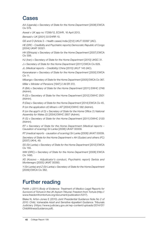#### Cases

*AA (Uganda) v Secretary of State for the Home Department* [2008] EWCA Civ 579.

*Aswat v UK* app no 17299/12, ECtHR, 16 April 2013.

*Bensaid v UK* [2001] 33 EHRR 10.

*GS and O* (Article 3 – Health cases) India [2]12] UKUT 00397 (IAC).

*HE (DRC – Credibility and Psychiatric reports) Democratic Republic of Congo*  [2004] UKIAT 00321.

HH (Ethiopia) v Secretary of State for the Home Department [2007] EWCA Civ 306.

HJ (Iran) v Secretary of State for the Home Department [2010] UKSC 31.

*J v Secretary of State for the Home Department* [2011] EWCA Civ 629.

*JL (Medical reports – Credibility) China* [2013] UKUT 145 (IAC).

*Karanakaran v Secretary of State for the Home Department* [2000] EWCA Civ 11.

*Mibanga v Secretary of State for the Home Department* [2005] EWCA Civ 367. *Miller v Minister of Pensions* [1947] 2 All ER 372.

*R (BA) v Secretary of State for the Home Department* [2011] EWHC 2748 (Admin).

R (D) v Secretary of State for the Home Department [2012] EWHC 2501 (Admin).

*R (Das) v Secretary of State for the Home Department* [2014] EWCA Civ 45.

*R (on the application of) Minani v IAT* [2004] EWHC 582 (Admin).

*R (on the appl'n of D) v Secretary of State for the Home Office (1) National Assembly for Wales (2)* [2004] EWHC 2857 (Admin).

*R (S) v Secretary of State for the Home Department* [2011] EWHC 2120 (Admin).

*RT v Secretary of State for the Home Department (Medical reports – Causation of scarring) Sri Lanka* [2008] UKAIT 00009.

*RT (medical reports - causation of scarring) Sri Lanka* [2008] UKAIT 00009.

*Secretary of State for the Home Department v AH (Sudan) and others (FC)* [2007] UKHL 49.

*SS (Sri Lanka) v Secretary of State for the Home Department* [2012] EWCA Civ 155.

*WM (DRC) v Secretary of State for the Home Department* [2006] EWCA Civ 1495.

*XS (Kosovo – Adjudicator's conduct, Psychiatric report) Serbia and Montenegro* [2005] UKIAT 00093.

*Y (Sri Lanka) and Z (Sri Lanka) v Secretary of State for the Home Department*  [2009] EWCA Civ 362.

### Further reading

Pettitt J (2011) *Body of Evidence: Treatment of Medico-Legal Reports for Survivors of Torture in the UK Asylum Tribunal*. Freedom from Torture (http:// www.freedomfromtorture.org/document/publication/5317).

Blake N, Arfon-Jones E (2010) *Joint Presidential Guidance Note No 2 of 2010: Child, Vulnerable Adult and Sensitive Appellant Guidance*. Tribunals Judiciary (https://www.judiciary.gov.uk/wp-content/uploads/2014/07/ ChildWitnessGuidance.pdf).